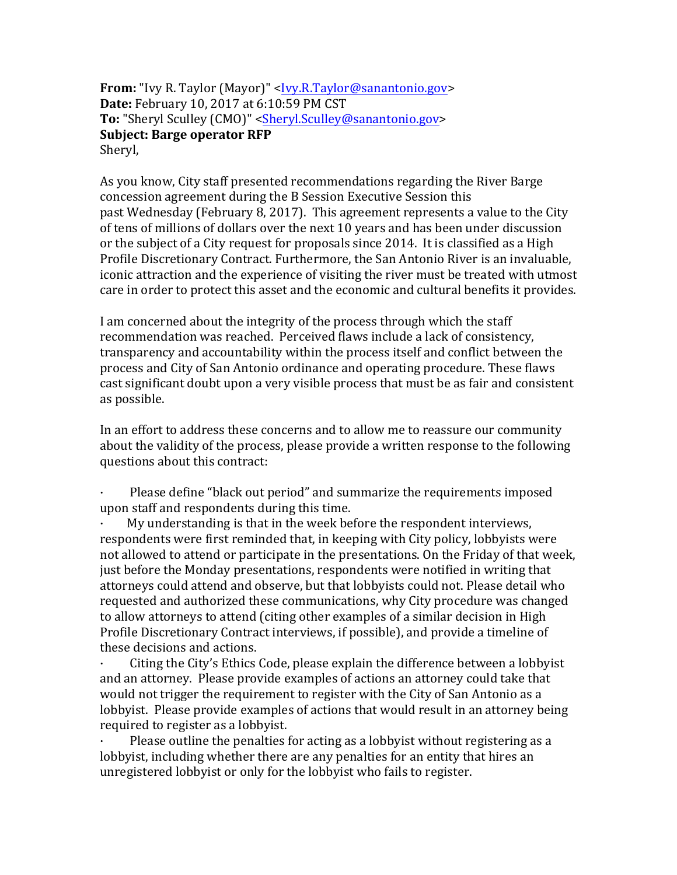**From:** "Ivy R. Taylor (Mayor)" <<u>Ivy.R.Taylor@sanantonio.gov</u>> **Date:** February 10, 2017 at 6:10:59 PM CST **To:** "Sheryl Sculley (CMO)" <Sheryl.Sculley@sanantonio.gov> **Subject: Barge operator RFP** Sheryl,

As you know, City staff presented recommendations regarding the River Barge concession agreement during the B Session Executive Session this past Wednesday (February 8, 2017). This agreement represents a value to the City of tens of millions of dollars over the next 10 years and has been under discussion or the subject of a City request for proposals since 2014. It is classified as a High Profile Discretionary Contract. Furthermore, the San Antonio River is an invaluable, iconic attraction and the experience of visiting the river must be treated with utmost care in order to protect this asset and the economic and cultural benefits it provides.

I am concerned about the integrity of the process through which the staff recommendation was reached. Perceived flaws include a lack of consistency, transparency and accountability within the process itself and conflict between the process and City of San Antonio ordinance and operating procedure. These flaws cast significant doubt upon a very visible process that must be as fair and consistent as possible.

In an effort to address these concerns and to allow me to reassure our community about the validity of the process, please provide a written response to the following questions about this contract:

Please define "black out period" and summarize the requirements imposed upon staff and respondents during this time.

My understanding is that in the week before the respondent interviews, respondents were first reminded that, in keeping with City policy, lobbyists were not allowed to attend or participate in the presentations. On the Friday of that week, just before the Monday presentations, respondents were notified in writing that attorneys could attend and observe, but that lobbyists could not. Please detail who requested and authorized these communications, why City procedure was changed to allow attorneys to attend (citing other examples of a similar decision in High Profile Discretionary Contract interviews, if possible), and provide a timeline of these decisions and actions.

Citing the City's Ethics Code, please explain the difference between a lobbyist and an attorney. Please provide examples of actions an attorney could take that would not trigger the requirement to register with the City of San Antonio as a lobbyist. Please provide examples of actions that would result in an attorney being required to register as a lobbyist.

Please outline the penalties for acting as a lobbyist without registering as a lobbyist, including whether there are any penalties for an entity that hires an unregistered lobbyist or only for the lobbyist who fails to register.